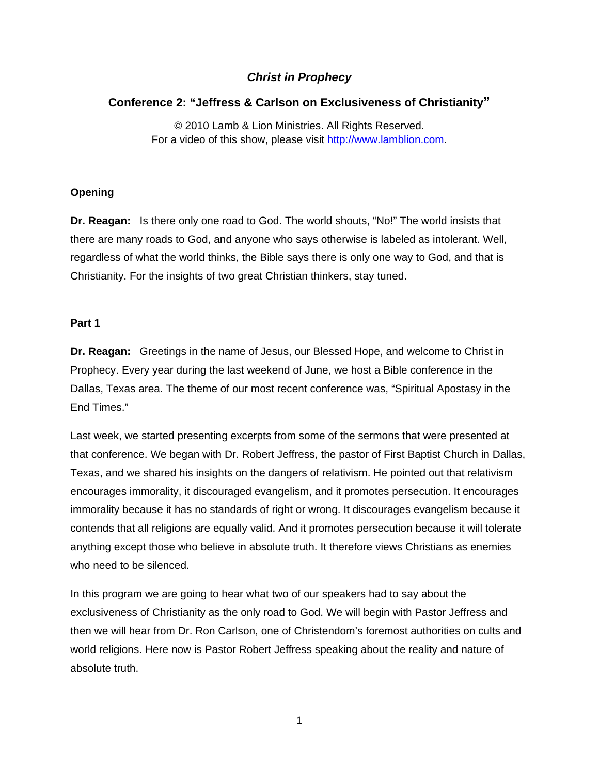# *Christ in Prophecy*

# **Conference 2: "Jeffress & Carlson on Exclusiveness of Christianity"**

© 2010 Lamb & Lion Ministries. All Rights Reserved. For a video of this show, please visit [http://www.lamblion.com.](http://www.lamblion.com/)

## **Opening**

**Dr. Reagan:** Is there only one road to God. The world shouts, "No!" The world insists that there are many roads to God, and anyone who says otherwise is labeled as intolerant. Well, regardless of what the world thinks, the Bible says there is only one way to God, and that is Christianity. For the insights of two great Christian thinkers, stay tuned.

### **Part 1**

**Dr. Reagan:** Greetings in the name of Jesus, our Blessed Hope, and welcome to Christ in Prophecy. Every year during the last weekend of June, we host a Bible conference in the Dallas, Texas area. The theme of our most recent conference was, "Spiritual Apostasy in the End Times."

Last week, we started presenting excerpts from some of the sermons that were presented at that conference. We began with Dr. Robert Jeffress, the pastor of First Baptist Church in Dallas, Texas, and we shared his insights on the dangers of relativism. He pointed out that relativism encourages immorality, it discouraged evangelism, and it promotes persecution. It encourages immorality because it has no standards of right or wrong. It discourages evangelism because it contends that all religions are equally valid. And it promotes persecution because it will tolerate anything except those who believe in absolute truth. It therefore views Christians as enemies who need to be silenced.

In this program we are going to hear what two of our speakers had to say about the exclusiveness of Christianity as the only road to God. We will begin with Pastor Jeffress and then we will hear from Dr. Ron Carlson, one of Christendom's foremost authorities on cults and world religions. Here now is Pastor Robert Jeffress speaking about the reality and nature of absolute truth.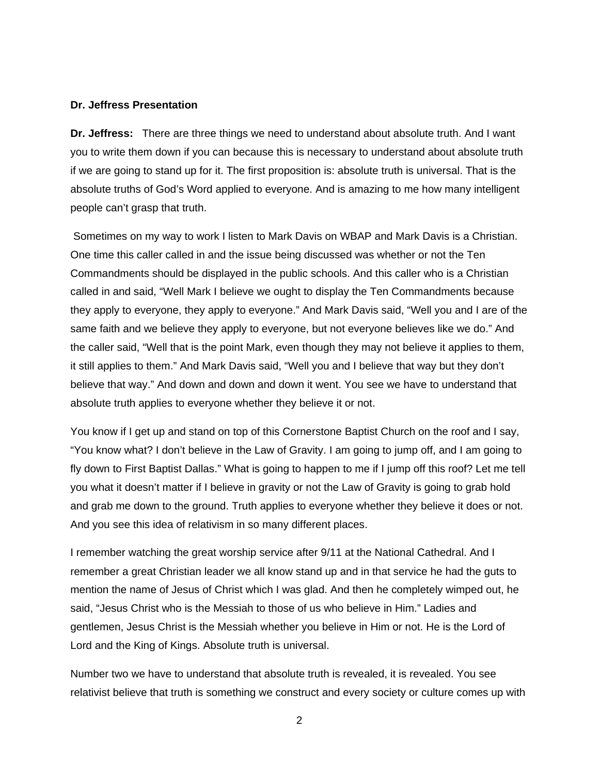#### **Dr. Jeffress Presentation**

**Dr. Jeffress:** There are three things we need to understand about absolute truth. And I want you to write them down if you can because this is necessary to understand about absolute truth if we are going to stand up for it. The first proposition is: absolute truth is universal. That is the absolute truths of God's Word applied to everyone. And is amazing to me how many intelligent people can't grasp that truth.

 Sometimes on my way to work I listen to Mark Davis on WBAP and Mark Davis is a Christian. One time this caller called in and the issue being discussed was whether or not the Ten Commandments should be displayed in the public schools. And this caller who is a Christian called in and said, "Well Mark I believe we ought to display the Ten Commandments because they apply to everyone, they apply to everyone." And Mark Davis said, "Well you and I are of the same faith and we believe they apply to everyone, but not everyone believes like we do." And the caller said, "Well that is the point Mark, even though they may not believe it applies to them, it still applies to them." And Mark Davis said, "Well you and I believe that way but they don't believe that way." And down and down and down it went. You see we have to understand that absolute truth applies to everyone whether they believe it or not.

You know if I get up and stand on top of this Cornerstone Baptist Church on the roof and I say, "You know what? I don't believe in the Law of Gravity. I am going to jump off, and I am going to fly down to First Baptist Dallas." What is going to happen to me if I jump off this roof? Let me tell you what it doesn't matter if I believe in gravity or not the Law of Gravity is going to grab hold and grab me down to the ground. Truth applies to everyone whether they believe it does or not. And you see this idea of relativism in so many different places.

I remember watching the great worship service after 9/11 at the National Cathedral. And I remember a great Christian leader we all know stand up and in that service he had the guts to mention the name of Jesus of Christ which I was glad. And then he completely wimped out, he said, "Jesus Christ who is the Messiah to those of us who believe in Him." Ladies and gentlemen, Jesus Christ is the Messiah whether you believe in Him or not. He is the Lord of Lord and the King of Kings. Absolute truth is universal.

Number two we have to understand that absolute truth is revealed, it is revealed. You see relativist believe that truth is something we construct and every society or culture comes up with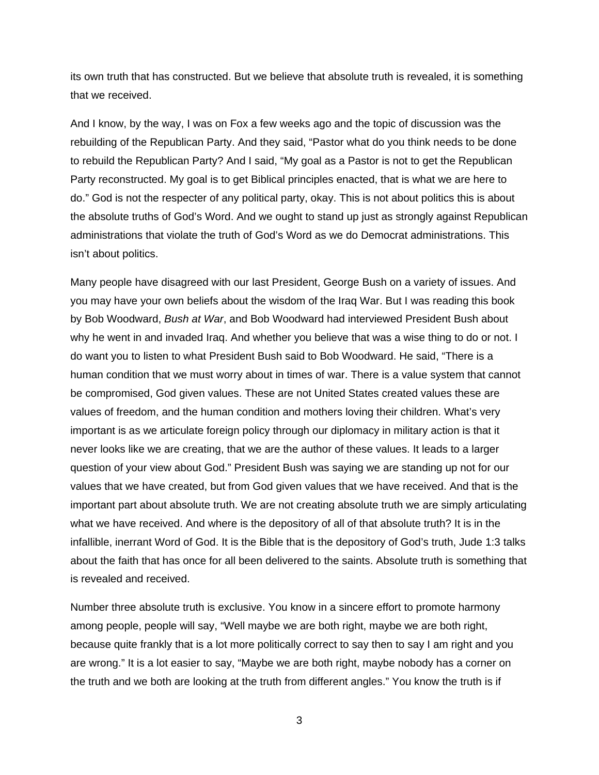its own truth that has constructed. But we believe that absolute truth is revealed, it is something that we received.

And I know, by the way, I was on Fox a few weeks ago and the topic of discussion was the rebuilding of the Republican Party. And they said, "Pastor what do you think needs to be done to rebuild the Republican Party? And I said, "My goal as a Pastor is not to get the Republican Party reconstructed. My goal is to get Biblical principles enacted, that is what we are here to do." God is not the respecter of any political party, okay. This is not about politics this is about the absolute truths of God's Word. And we ought to stand up just as strongly against Republican administrations that violate the truth of God's Word as we do Democrat administrations. This isn't about politics.

Many people have disagreed with our last President, George Bush on a variety of issues. And you may have your own beliefs about the wisdom of the Iraq War. But I was reading this book by Bob Woodward, *Bush at War*, and Bob Woodward had interviewed President Bush about why he went in and invaded Iraq. And whether you believe that was a wise thing to do or not. I do want you to listen to what President Bush said to Bob Woodward. He said, "There is a human condition that we must worry about in times of war. There is a value system that cannot be compromised, God given values. These are not United States created values these are values of freedom, and the human condition and mothers loving their children. What's very important is as we articulate foreign policy through our diplomacy in military action is that it never looks like we are creating, that we are the author of these values. It leads to a larger question of your view about God." President Bush was saying we are standing up not for our values that we have created, but from God given values that we have received. And that is the important part about absolute truth. We are not creating absolute truth we are simply articulating what we have received. And where is the depository of all of that absolute truth? It is in the infallible, inerrant Word of God. It is the Bible that is the depository of God's truth, Jude 1:3 talks about the faith that has once for all been delivered to the saints. Absolute truth is something that is revealed and received.

Number three absolute truth is exclusive. You know in a sincere effort to promote harmony among people, people will say, "Well maybe we are both right, maybe we are both right, because quite frankly that is a lot more politically correct to say then to say I am right and you are wrong." It is a lot easier to say, "Maybe we are both right, maybe nobody has a corner on the truth and we both are looking at the truth from different angles." You know the truth is if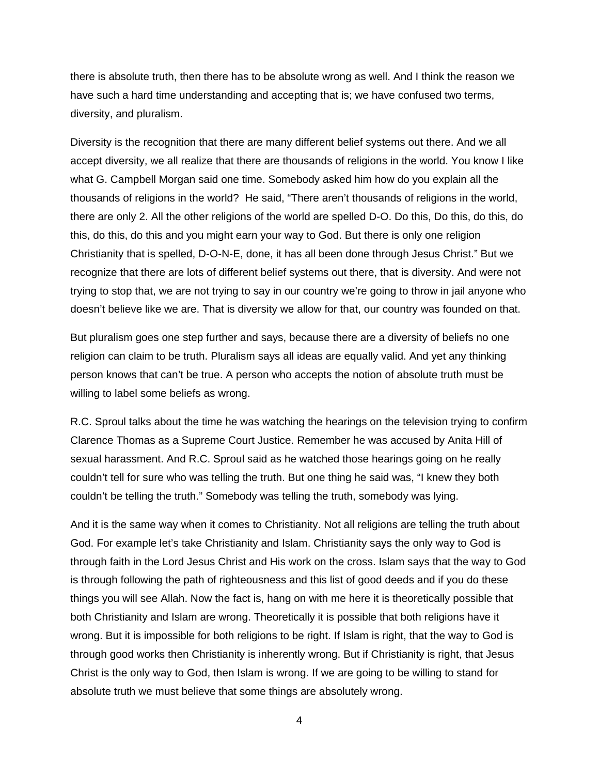there is absolute truth, then there has to be absolute wrong as well. And I think the reason we have such a hard time understanding and accepting that is; we have confused two terms, diversity, and pluralism.

Diversity is the recognition that there are many different belief systems out there. And we all accept diversity, we all realize that there are thousands of religions in the world. You know I like what G. Campbell Morgan said one time. Somebody asked him how do you explain all the thousands of religions in the world? He said, "There aren't thousands of religions in the world, there are only 2. All the other religions of the world are spelled D-O. Do this, Do this, do this, do this, do this, do this and you might earn your way to God. But there is only one religion Christianity that is spelled, D-O-N-E, done, it has all been done through Jesus Christ." But we recognize that there are lots of different belief systems out there, that is diversity. And were not trying to stop that, we are not trying to say in our country we're going to throw in jail anyone who doesn't believe like we are. That is diversity we allow for that, our country was founded on that.

But pluralism goes one step further and says, because there are a diversity of beliefs no one religion can claim to be truth. Pluralism says all ideas are equally valid. And yet any thinking person knows that can't be true. A person who accepts the notion of absolute truth must be willing to label some beliefs as wrong.

R.C. Sproul talks about the time he was watching the hearings on the television trying to confirm Clarence Thomas as a Supreme Court Justice. Remember he was accused by Anita Hill of sexual harassment. And R.C. Sproul said as he watched those hearings going on he really couldn't tell for sure who was telling the truth. But one thing he said was, "I knew they both couldn't be telling the truth." Somebody was telling the truth, somebody was lying.

And it is the same way when it comes to Christianity. Not all religions are telling the truth about God. For example let's take Christianity and Islam. Christianity says the only way to God is through faith in the Lord Jesus Christ and His work on the cross. Islam says that the way to God is through following the path of righteousness and this list of good deeds and if you do these things you will see Allah. Now the fact is, hang on with me here it is theoretically possible that both Christianity and Islam are wrong. Theoretically it is possible that both religions have it wrong. But it is impossible for both religions to be right. If Islam is right, that the way to God is through good works then Christianity is inherently wrong. But if Christianity is right, that Jesus Christ is the only way to God, then Islam is wrong. If we are going to be willing to stand for absolute truth we must believe that some things are absolutely wrong.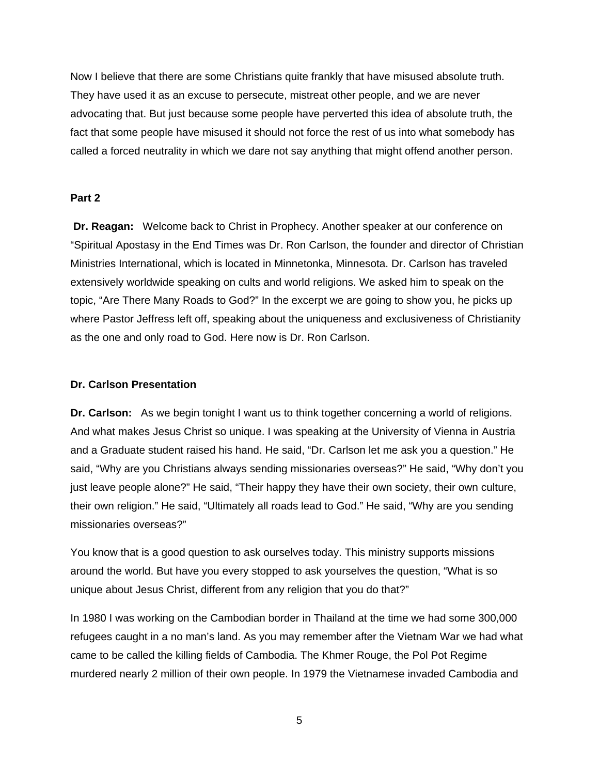Now I believe that there are some Christians quite frankly that have misused absolute truth. They have used it as an excuse to persecute, mistreat other people, and we are never advocating that. But just because some people have perverted this idea of absolute truth, the fact that some people have misused it should not force the rest of us into what somebody has called a forced neutrality in which we dare not say anything that might offend another person.

#### **Part 2**

**Dr. Reagan:** Welcome back to Christ in Prophecy. Another speaker at our conference on "Spiritual Apostasy in the End Times was Dr. Ron Carlson, the founder and director of Christian Ministries International, which is located in Minnetonka, Minnesota. Dr. Carlson has traveled extensively worldwide speaking on cults and world religions. We asked him to speak on the topic, "Are There Many Roads to God?" In the excerpt we are going to show you, he picks up where Pastor Jeffress left off, speaking about the uniqueness and exclusiveness of Christianity as the one and only road to God. Here now is Dr. Ron Carlson.

#### **Dr. Carlson Presentation**

**Dr. Carlson:** As we begin tonight I want us to think together concerning a world of religions. And what makes Jesus Christ so unique. I was speaking at the University of Vienna in Austria and a Graduate student raised his hand. He said, "Dr. Carlson let me ask you a question." He said, "Why are you Christians always sending missionaries overseas?" He said, "Why don't you just leave people alone?" He said, "Their happy they have their own society, their own culture, their own religion." He said, "Ultimately all roads lead to God." He said, "Why are you sending missionaries overseas?"

You know that is a good question to ask ourselves today. This ministry supports missions around the world. But have you every stopped to ask yourselves the question, "What is so unique about Jesus Christ, different from any religion that you do that?"

In 1980 I was working on the Cambodian border in Thailand at the time we had some 300,000 refugees caught in a no man's land. As you may remember after the Vietnam War we had what came to be called the killing fields of Cambodia. The Khmer Rouge, the Pol Pot Regime murdered nearly 2 million of their own people. In 1979 the Vietnamese invaded Cambodia and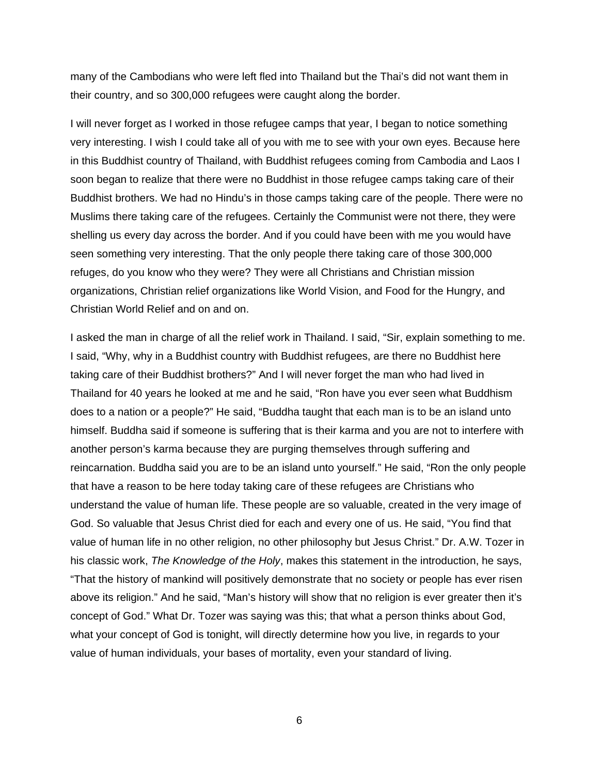many of the Cambodians who were left fled into Thailand but the Thai's did not want them in their country, and so 300,000 refugees were caught along the border.

I will never forget as I worked in those refugee camps that year, I began to notice something very interesting. I wish I could take all of you with me to see with your own eyes. Because here in this Buddhist country of Thailand, with Buddhist refugees coming from Cambodia and Laos I soon began to realize that there were no Buddhist in those refugee camps taking care of their Buddhist brothers. We had no Hindu's in those camps taking care of the people. There were no Muslims there taking care of the refugees. Certainly the Communist were not there, they were shelling us every day across the border. And if you could have been with me you would have seen something very interesting. That the only people there taking care of those 300,000 refuges, do you know who they were? They were all Christians and Christian mission organizations, Christian relief organizations like World Vision, and Food for the Hungry, and Christian World Relief and on and on.

I asked the man in charge of all the relief work in Thailand. I said, "Sir, explain something to me. I said, "Why, why in a Buddhist country with Buddhist refugees, are there no Buddhist here taking care of their Buddhist brothers?" And I will never forget the man who had lived in Thailand for 40 years he looked at me and he said, "Ron have you ever seen what Buddhism does to a nation or a people?" He said, "Buddha taught that each man is to be an island unto himself. Buddha said if someone is suffering that is their karma and you are not to interfere with another person's karma because they are purging themselves through suffering and reincarnation. Buddha said you are to be an island unto yourself." He said, "Ron the only people that have a reason to be here today taking care of these refugees are Christians who understand the value of human life. These people are so valuable, created in the very image of God. So valuable that Jesus Christ died for each and every one of us. He said, "You find that value of human life in no other religion, no other philosophy but Jesus Christ." Dr. A.W. Tozer in his classic work, *The Knowledge of the Holy*, makes this statement in the introduction, he says, "That the history of mankind will positively demonstrate that no society or people has ever risen above its religion." And he said, "Man's history will show that no religion is ever greater then it's concept of God." What Dr. Tozer was saying was this; that what a person thinks about God, what your concept of God is tonight, will directly determine how you live, in regards to your value of human individuals, your bases of mortality, even your standard of living.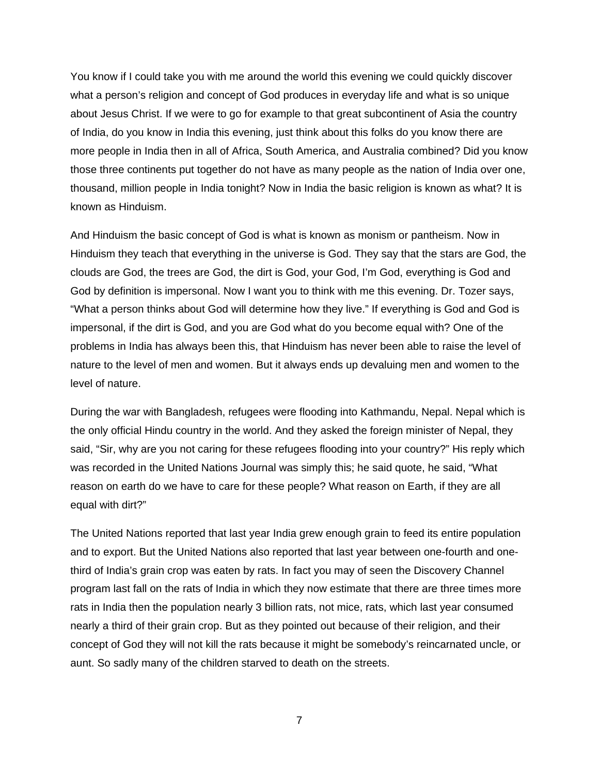You know if I could take you with me around the world this evening we could quickly discover what a person's religion and concept of God produces in everyday life and what is so unique about Jesus Christ. If we were to go for example to that great subcontinent of Asia the country of India, do you know in India this evening, just think about this folks do you know there are more people in India then in all of Africa, South America, and Australia combined? Did you know those three continents put together do not have as many people as the nation of India over one, thousand, million people in India tonight? Now in India the basic religion is known as what? It is known as Hinduism.

And Hinduism the basic concept of God is what is known as monism or pantheism. Now in Hinduism they teach that everything in the universe is God. They say that the stars are God, the clouds are God, the trees are God, the dirt is God, your God, I'm God, everything is God and God by definition is impersonal. Now I want you to think with me this evening. Dr. Tozer says, "What a person thinks about God will determine how they live." If everything is God and God is impersonal, if the dirt is God, and you are God what do you become equal with? One of the problems in India has always been this, that Hinduism has never been able to raise the level of nature to the level of men and women. But it always ends up devaluing men and women to the level of nature.

During the war with Bangladesh, refugees were flooding into Kathmandu, Nepal. Nepal which is the only official Hindu country in the world. And they asked the foreign minister of Nepal, they said, "Sir, why are you not caring for these refugees flooding into your country?" His reply which was recorded in the United Nations Journal was simply this; he said quote, he said, "What reason on earth do we have to care for these people? What reason on Earth, if they are all equal with dirt?"

The United Nations reported that last year India grew enough grain to feed its entire population and to export. But the United Nations also reported that last year between one-fourth and onethird of India's grain crop was eaten by rats. In fact you may of seen the Discovery Channel program last fall on the rats of India in which they now estimate that there are three times more rats in India then the population nearly 3 billion rats, not mice, rats, which last year consumed nearly a third of their grain crop. But as they pointed out because of their religion, and their concept of God they will not kill the rats because it might be somebody's reincarnated uncle, or aunt. So sadly many of the children starved to death on the streets.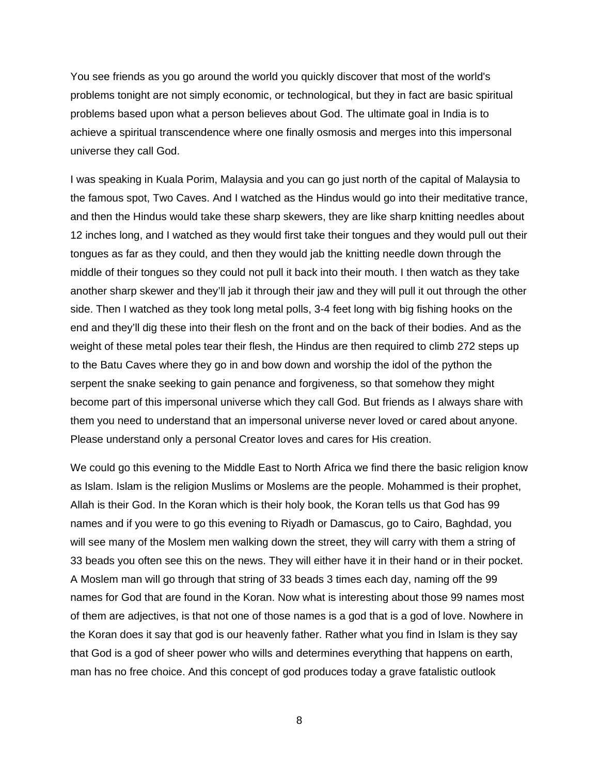You see friends as you go around the world you quickly discover that most of the world's problems tonight are not simply economic, or technological, but they in fact are basic spiritual problems based upon what a person believes about God. The ultimate goal in India is to achieve a spiritual transcendence where one finally osmosis and merges into this impersonal universe they call God.

I was speaking in Kuala Porim, Malaysia and you can go just north of the capital of Malaysia to the famous spot, Two Caves. And I watched as the Hindus would go into their meditative trance, and then the Hindus would take these sharp skewers, they are like sharp knitting needles about 12 inches long, and I watched as they would first take their tongues and they would pull out their tongues as far as they could, and then they would jab the knitting needle down through the middle of their tongues so they could not pull it back into their mouth. I then watch as they take another sharp skewer and they'll jab it through their jaw and they will pull it out through the other side. Then I watched as they took long metal polls, 3-4 feet long with big fishing hooks on the end and they'll dig these into their flesh on the front and on the back of their bodies. And as the weight of these metal poles tear their flesh, the Hindus are then required to climb 272 steps up to the Batu Caves where they go in and bow down and worship the idol of the python the serpent the snake seeking to gain penance and forgiveness, so that somehow they might become part of this impersonal universe which they call God. But friends as I always share with them you need to understand that an impersonal universe never loved or cared about anyone. Please understand only a personal Creator loves and cares for His creation.

We could go this evening to the Middle East to North Africa we find there the basic religion know as Islam. Islam is the religion Muslims or Moslems are the people. Mohammed is their prophet, Allah is their God. In the Koran which is their holy book, the Koran tells us that God has 99 names and if you were to go this evening to Riyadh or Damascus, go to Cairo, Baghdad, you will see many of the Moslem men walking down the street, they will carry with them a string of 33 beads you often see this on the news. They will either have it in their hand or in their pocket. A Moslem man will go through that string of 33 beads 3 times each day, naming off the 99 names for God that are found in the Koran. Now what is interesting about those 99 names most of them are adjectives, is that not one of those names is a god that is a god of love. Nowhere in the Koran does it say that god is our heavenly father. Rather what you find in Islam is they say that God is a god of sheer power who wills and determines everything that happens on earth, man has no free choice. And this concept of god produces today a grave fatalistic outlook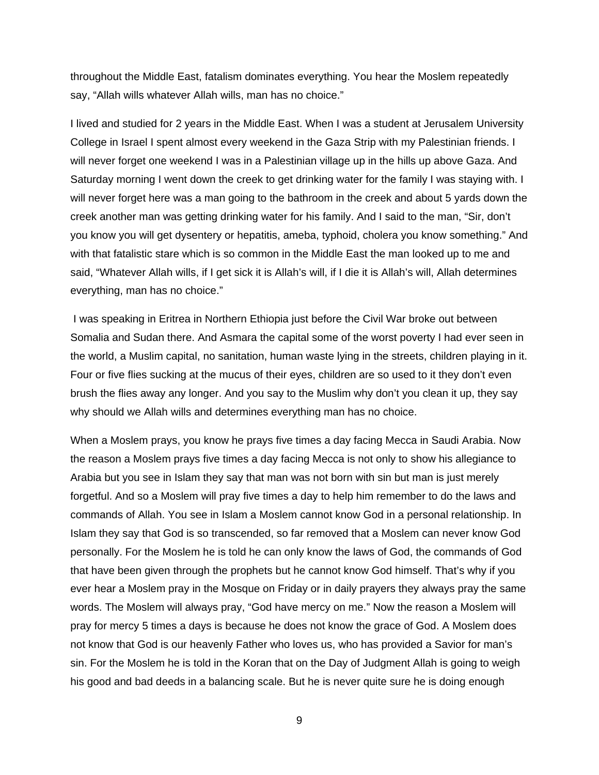throughout the Middle East, fatalism dominates everything. You hear the Moslem repeatedly say, "Allah wills whatever Allah wills, man has no choice."

I lived and studied for 2 years in the Middle East. When I was a student at Jerusalem University College in Israel I spent almost every weekend in the Gaza Strip with my Palestinian friends. I will never forget one weekend I was in a Palestinian village up in the hills up above Gaza. And Saturday morning I went down the creek to get drinking water for the family I was staying with. I will never forget here was a man going to the bathroom in the creek and about 5 yards down the creek another man was getting drinking water for his family. And I said to the man, "Sir, don't you know you will get dysentery or hepatitis, ameba, typhoid, cholera you know something." And with that fatalistic stare which is so common in the Middle East the man looked up to me and said, "Whatever Allah wills, if I get sick it is Allah's will, if I die it is Allah's will, Allah determines everything, man has no choice."

 I was speaking in Eritrea in Northern Ethiopia just before the Civil War broke out between Somalia and Sudan there. And Asmara the capital some of the worst poverty I had ever seen in the world, a Muslim capital, no sanitation, human waste lying in the streets, children playing in it. Four or five flies sucking at the mucus of their eyes, children are so used to it they don't even brush the flies away any longer. And you say to the Muslim why don't you clean it up, they say why should we Allah wills and determines everything man has no choice.

When a Moslem prays, you know he prays five times a day facing Mecca in Saudi Arabia. Now the reason a Moslem prays five times a day facing Mecca is not only to show his allegiance to Arabia but you see in Islam they say that man was not born with sin but man is just merely forgetful. And so a Moslem will pray five times a day to help him remember to do the laws and commands of Allah. You see in Islam a Moslem cannot know God in a personal relationship. In Islam they say that God is so transcended, so far removed that a Moslem can never know God personally. For the Moslem he is told he can only know the laws of God, the commands of God that have been given through the prophets but he cannot know God himself. That's why if you ever hear a Moslem pray in the Mosque on Friday or in daily prayers they always pray the same words. The Moslem will always pray, "God have mercy on me." Now the reason a Moslem will pray for mercy 5 times a days is because he does not know the grace of God. A Moslem does not know that God is our heavenly Father who loves us, who has provided a Savior for man's sin. For the Moslem he is told in the Koran that on the Day of Judgment Allah is going to weigh his good and bad deeds in a balancing scale. But he is never quite sure he is doing enough